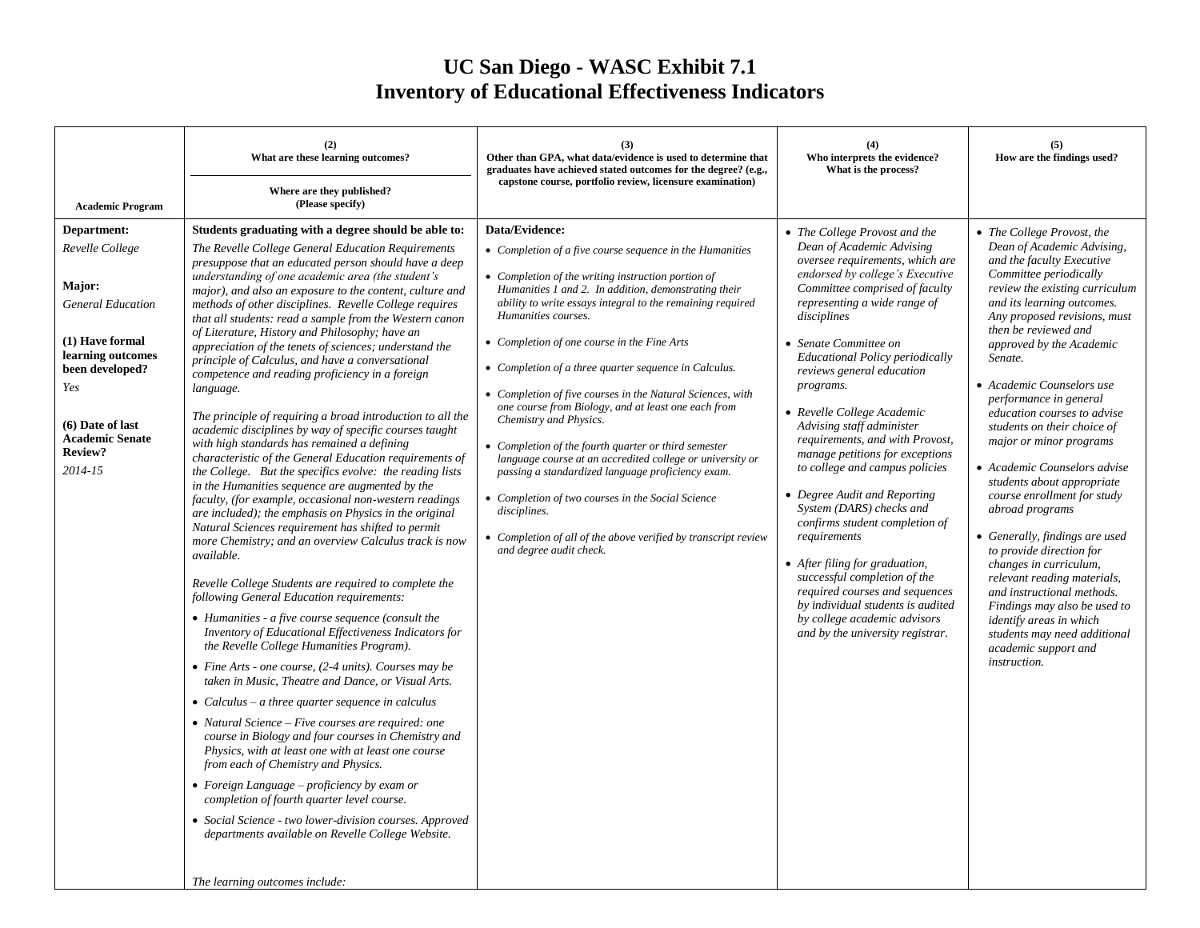## **UC San Diego - WASC Exhibit 7.1 Inventory of Educational Effectiveness Indicators**

| <b>Academic Program</b>                                                                                                                                                                             | (2)<br>What are these learning outcomes?<br>Where are they published?<br>(Please specify)                                                                                                                                                                                                                                                                                                                                                                                                                                                                                                                                                                                                                                                                                                                                                                                                                                                                                                                                                                                                                                                                                                                                                                                                                                                                                                                                                                                                                                                                                                                                                                                                                                                                                                                                                                                                                                                                                                                                                                                                                                                          | (3)<br>Other than GPA, what data/evidence is used to determine that<br>graduates have achieved stated outcomes for the degree? (e.g.,<br>capstone course, portfolio review, licensure examination)                                                                                                                                                                                                                                                                                                                                                                                                                                                                                                                                                                                                                                                                               | (4)<br>Who interprets the evidence?<br>What is the process?                                                                                                                                                                                                                                                                                                                                                                                                                                                                                                                                                                                                                                                                                                                                                                  | (5)<br>How are the findings used?                                                                                                                                                                                                                                                                                                                                                                                                                                                                                                                                                                                                                                                                                                                                                                                                      |
|-----------------------------------------------------------------------------------------------------------------------------------------------------------------------------------------------------|----------------------------------------------------------------------------------------------------------------------------------------------------------------------------------------------------------------------------------------------------------------------------------------------------------------------------------------------------------------------------------------------------------------------------------------------------------------------------------------------------------------------------------------------------------------------------------------------------------------------------------------------------------------------------------------------------------------------------------------------------------------------------------------------------------------------------------------------------------------------------------------------------------------------------------------------------------------------------------------------------------------------------------------------------------------------------------------------------------------------------------------------------------------------------------------------------------------------------------------------------------------------------------------------------------------------------------------------------------------------------------------------------------------------------------------------------------------------------------------------------------------------------------------------------------------------------------------------------------------------------------------------------------------------------------------------------------------------------------------------------------------------------------------------------------------------------------------------------------------------------------------------------------------------------------------------------------------------------------------------------------------------------------------------------------------------------------------------------------------------------------------------------|----------------------------------------------------------------------------------------------------------------------------------------------------------------------------------------------------------------------------------------------------------------------------------------------------------------------------------------------------------------------------------------------------------------------------------------------------------------------------------------------------------------------------------------------------------------------------------------------------------------------------------------------------------------------------------------------------------------------------------------------------------------------------------------------------------------------------------------------------------------------------------|------------------------------------------------------------------------------------------------------------------------------------------------------------------------------------------------------------------------------------------------------------------------------------------------------------------------------------------------------------------------------------------------------------------------------------------------------------------------------------------------------------------------------------------------------------------------------------------------------------------------------------------------------------------------------------------------------------------------------------------------------------------------------------------------------------------------------|----------------------------------------------------------------------------------------------------------------------------------------------------------------------------------------------------------------------------------------------------------------------------------------------------------------------------------------------------------------------------------------------------------------------------------------------------------------------------------------------------------------------------------------------------------------------------------------------------------------------------------------------------------------------------------------------------------------------------------------------------------------------------------------------------------------------------------------|
| Department:<br>Revelle College<br>Major:<br><b>General Education</b><br>(1) Have formal<br>learning outcomes<br>been developed?<br>Yes<br>(6) Date of last<br>Academic Senate<br>Review?<br>2014-15 | Students graduating with a degree should be able to:<br>The Revelle College General Education Requirements<br>presuppose that an educated person should have a deep<br>understanding of one academic area (the student's<br>major), and also an exposure to the content, culture and<br>methods of other disciplines. Revelle College requires<br>that all students: read a sample from the Western canon<br>of Literature, History and Philosophy; have an<br>appreciation of the tenets of sciences; understand the<br>principle of Calculus, and have a conversational<br>competence and reading proficiency in a foreign<br>language.<br>The principle of requiring a broad introduction to all the<br>academic disciplines by way of specific courses taught<br>with high standards has remained a defining<br>characteristic of the General Education requirements of<br>the College. But the specifics evolve: the reading lists<br>in the Humanities sequence are augmented by the<br>faculty, (for example, occasional non-western readings<br>are included); the emphasis on Physics in the original<br>Natural Sciences requirement has shifted to permit<br>more Chemistry; and an overview Calculus track is now<br>available.<br>Revelle College Students are required to complete the<br>following General Education requirements:<br>• Humanities - a five course sequence (consult the<br>Inventory of Educational Effectiveness Indicators for<br>the Revelle College Humanities Program).<br>• Fine Arts - one course, (2-4 units). Courses may be<br>taken in Music. Theatre and Dance, or Visual Arts.<br>• Calculus – a three quarter sequence in calculus<br>• Natural Science – Five courses are required: one<br>course in Biology and four courses in Chemistry and<br>Physics, with at least one with at least one course<br>from each of Chemistry and Physics.<br>$\bullet$ Foreign Language - proficiency by exam or<br>completion of fourth quarter level course.<br>• Social Science - two lower-division courses. Approved<br>departments available on Revelle College Website.<br>The learning outcomes include: | Data/Evidence:<br>• Completion of a five course sequence in the Humanities<br>• Completion of the writing instruction portion of<br>Humanities 1 and 2. In addition, demonstrating their<br>ability to write essays integral to the remaining required<br>Humanities courses.<br>• Completion of one course in the Fine Arts<br>• Completion of a three quarter sequence in Calculus.<br>• Completion of five courses in the Natural Sciences, with<br>one course from Biology, and at least one each from<br>Chemistry and Physics.<br>• Completion of the fourth quarter or third semester<br>language course at an accredited college or university or<br>passing a standardized language proficiency exam.<br>• Completion of two courses in the Social Science<br>disciplines.<br>• Completion of all of the above verified by transcript review<br>and degree audit check. | • The College Provost and the<br>Dean of Academic Advising<br>oversee requirements, which are<br>endorsed by college's Executive<br>Committee comprised of faculty<br>representing a wide range of<br>disciplines<br>• Senate Committee on<br><b>Educational Policy periodically</b><br>reviews general education<br>programs.<br>• Revelle College Academic<br>Advising staff administer<br>requirements, and with Provost,<br>manage petitions for exceptions<br>to college and campus policies<br>• Degree Audit and Reporting<br>System (DARS) checks and<br>confirms student completion of<br>requirements<br>• After filing for graduation,<br>successful completion of the<br>required courses and sequences<br>by individual students is audited<br>by college academic advisors<br>and by the university registrar. | • The College Provost, the<br>Dean of Academic Advising,<br>and the faculty Executive<br>Committee periodically<br>review the existing curriculum<br>and its learning outcomes.<br>Any proposed revisions, must<br>then be reviewed and<br>approved by the Academic<br>Senate.<br>• Academic Counselors use<br>performance in general<br>education courses to advise<br>students on their choice of<br>major or minor programs<br>• Academic Counselors advise<br>students about appropriate<br>course enrollment for study<br>abroad programs<br>• Generally, findings are used<br>to provide direction for<br>changes in curriculum,<br>relevant reading materials,<br>and instructional methods.<br>Findings may also be used to<br>identify areas in which<br>students may need additional<br>academic support and<br>instruction. |